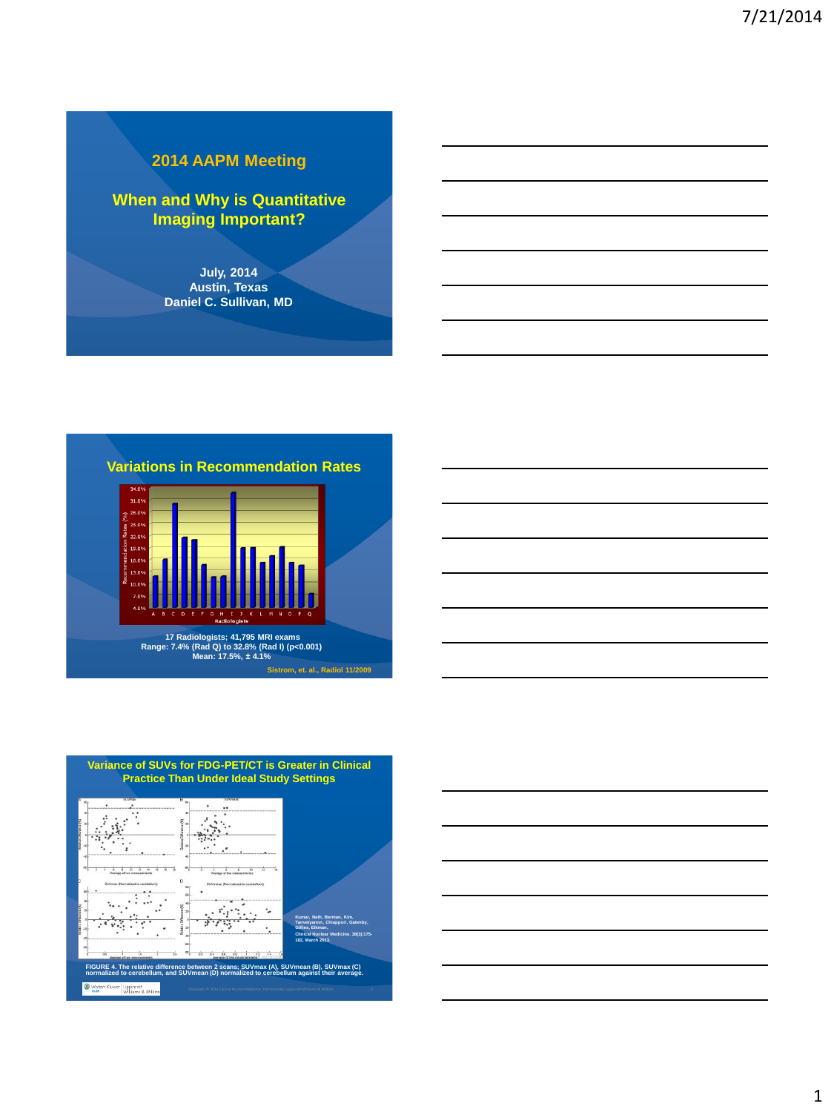# **2014 AAPM Meeting**

**When and Why is Quantitative Imaging Important?**

> **July, 2014 Austin, Texas Daniel C. Sullivan, MD**







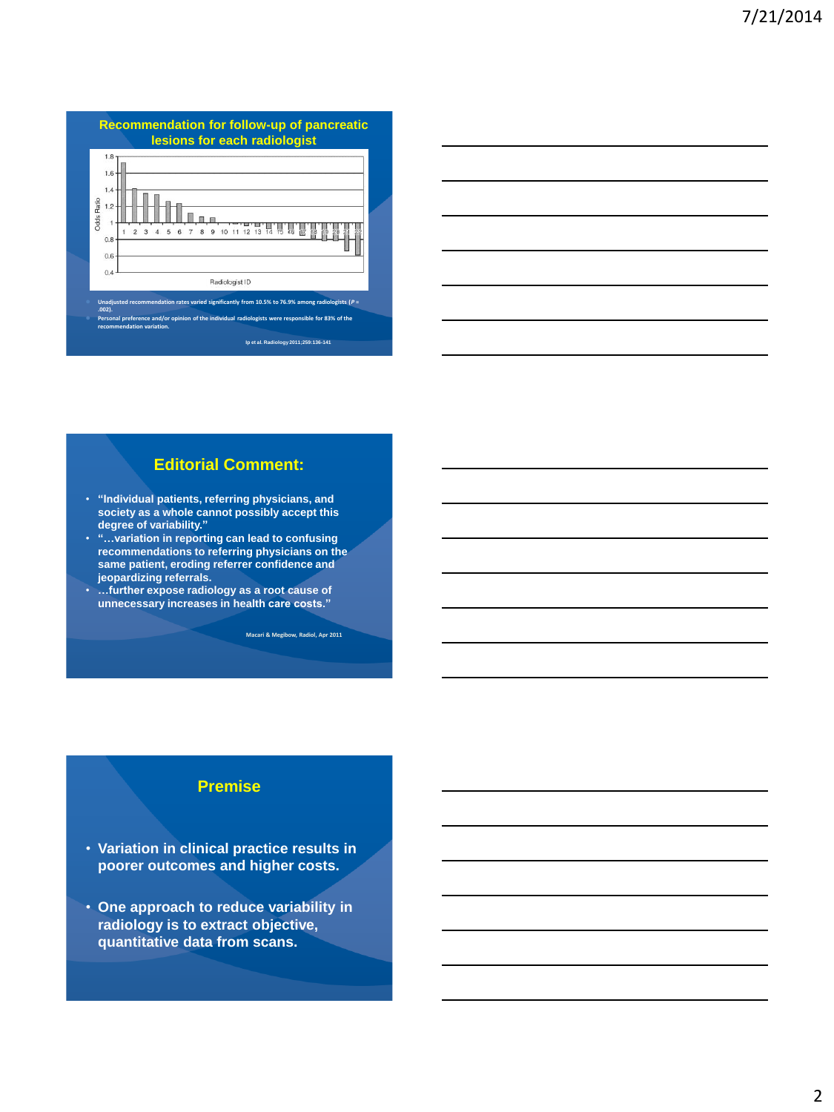

| <u> 1989 - Johann Stoff, deutscher Stoff, der Stoff, der Stoff, der Stoff, der Stoff, der Stoff, der Stoff, der S</u> |  |  |
|-----------------------------------------------------------------------------------------------------------------------|--|--|
| <u> 1989 - Johann Stoff, amerikansk politiker (* 1989)</u>                                                            |  |  |
| <u> 1980 - Johann Barn, amerikansk politiker (d. 1980)</u>                                                            |  |  |
| <u> 1989 - Johann Stoff, deutscher Stoff, der Stoff, der Stoff, der Stoff, der Stoff, der Stoff, der Stoff, der S</u> |  |  |
|                                                                                                                       |  |  |

## **Editorial Comment:**

- **"Individual patients, referring physicians, and society as a whole cannot possibly accept this degree of variability."**
- **"…variation in reporting can lead to confusing recommendations to referring physicians on the same patient, eroding referrer confidence and jeopardizing referrals.**
- **…further expose radiology as a root cause of unnecessary increases in health care costs."**

**Macari & Megibow, Radiol, Apr 2011**

## **Premise**

- **Variation in clinical practice results in poorer outcomes and higher costs.**
- **One approach to reduce variability in radiology is to extract objective, quantitative data from scans.**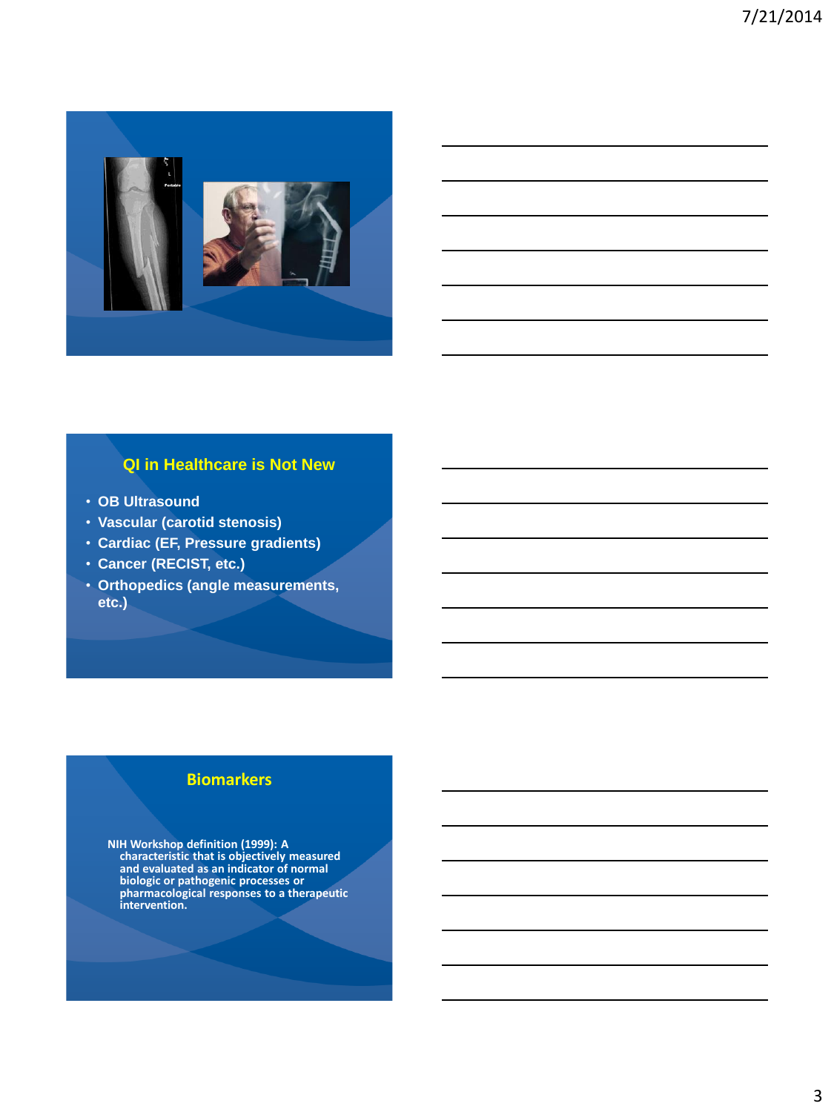

## **QI in Healthcare is Not New**

- **OB Ultrasound**
- **Vascular (carotid stenosis)**
- **Cardiac (EF, Pressure gradients)**
- **Cancer (RECIST, etc.)**
- **Orthopedics (angle measurements, etc.)**

## **Biomarkers**

**NIH Workshop definition (1999): A characteristic that is objectively measured and evaluated as an indicator of normal biologic or pathogenic processes or pharmacological responses to a therapeutic intervention.**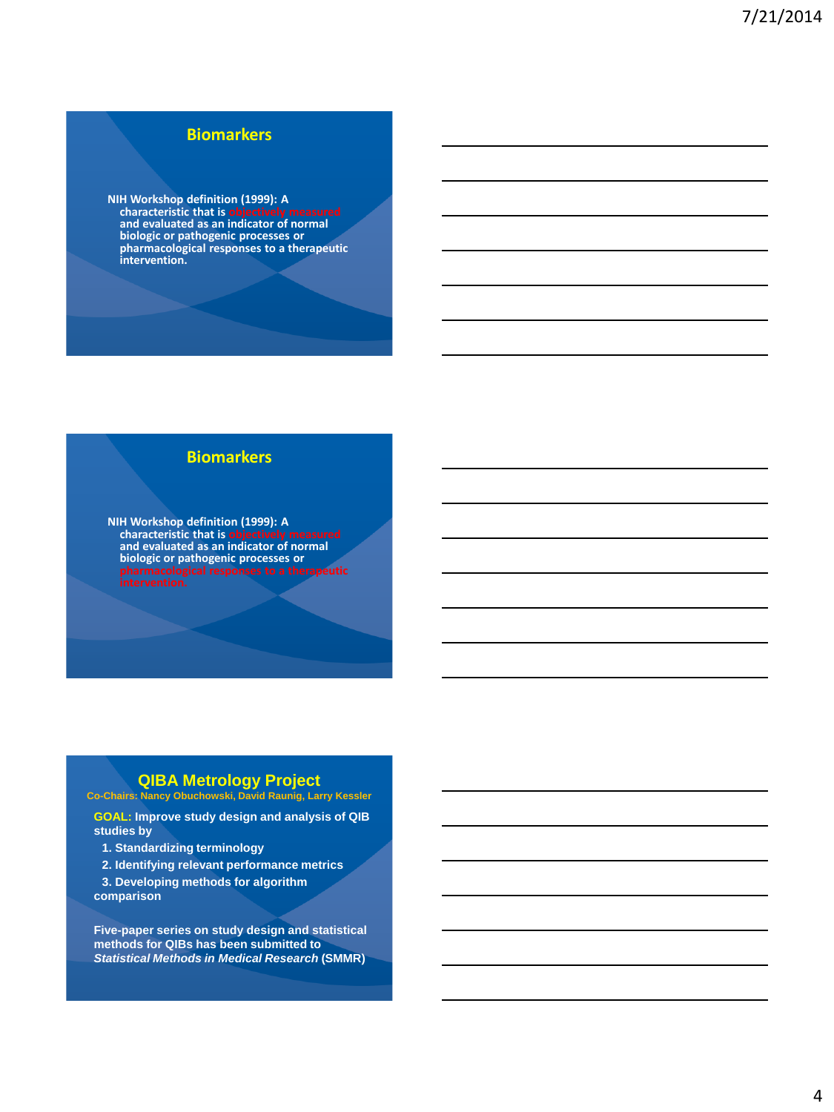## **Biomarkers**

**NIH Workshop definition (1999): A characteristic that is objectively measured and evaluated as an indicator of normal biologic or pathogenic processes or pharmacological responses to a therapeutic intervention.**

### **Biomarkers**

**NIH Workshop definition (1999): A characteristic that is and evaluated as an indicator of normal biologic or pathogenic processes or pharmacological responses to a therapeutic** 

# **QIBA Metrology Project Co-Chairs: Nancy Obuchowski, David Raunig, Larry Kessler**

**GOAL: Improve study design and analysis of QIB studies by**

- **1. Standardizing terminology**
- **2. Identifying relevant performance metrics**
- **3. Developing methods for algorithm comparison**

**Five-paper series on study design and statistical methods for QIBs has been submitted to**  *Statistical Methods in Medical Research* **(SMMR)**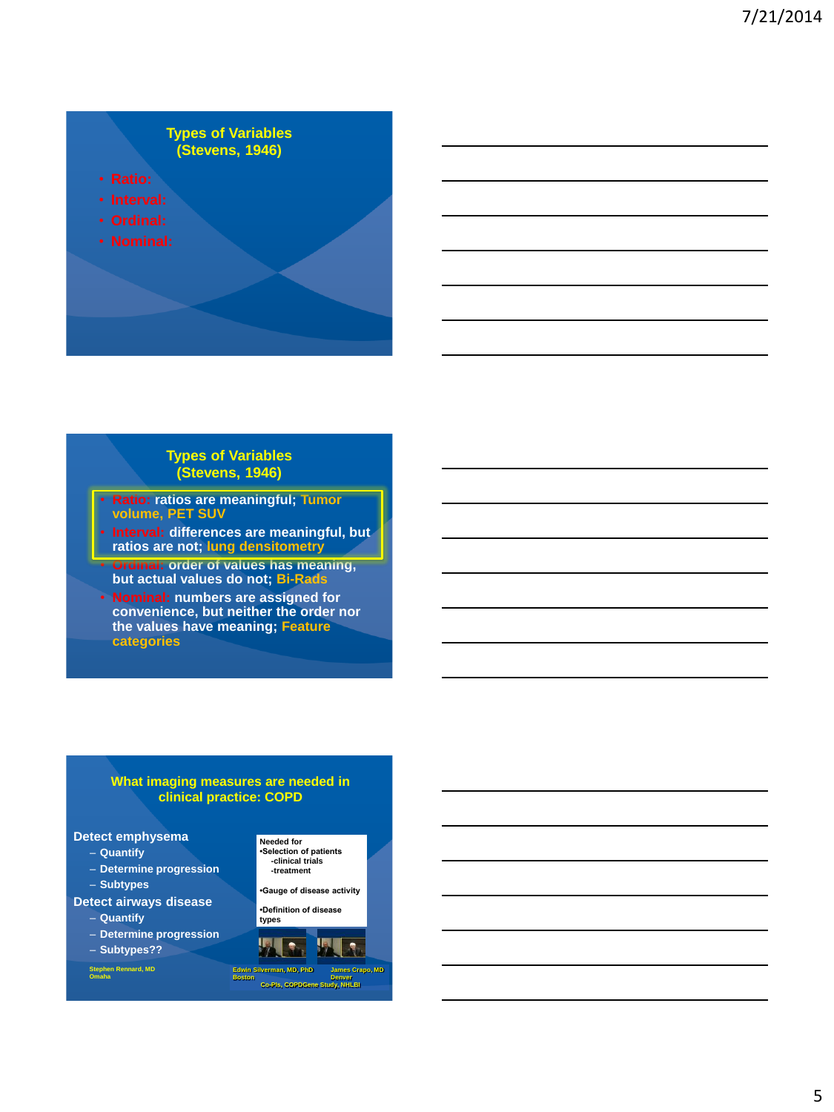## **Types of Variables (Stevens, 1946)**

- 
- 
- 
- 

#### **Types of Variables (Stevens, 1946)**

• **Ratio: ratios are meaningful; Tumor volume, PET SUV** • **Interval: differences are meaningful, but ratios are not; lung densitometry**

• **Ordinal: order of values has meaning, but actual values do not; Bi-Rads**

• **Nominal: numbers are assigned for convenience, but neither the order nor the values have meaning; Feature categories**

#### **What imaging measures are needed in clinical practice: COPD**

#### **Detect emphysema**

- **Quantify**
- **Determine progression**
- **Subtypes**
- **Detect airways disease**
	- **Quantify**
	- **Determine progression**
	- **Subtypes??**

**Stephen Rennard, MD Omaha**



**types**

 $\bullet$  $\mathbf{F}$ 

**Edwin Silverman, MD, PhD James Crapo, MD Boston Denver Co-PIs, COPDGene Study, NHLBI**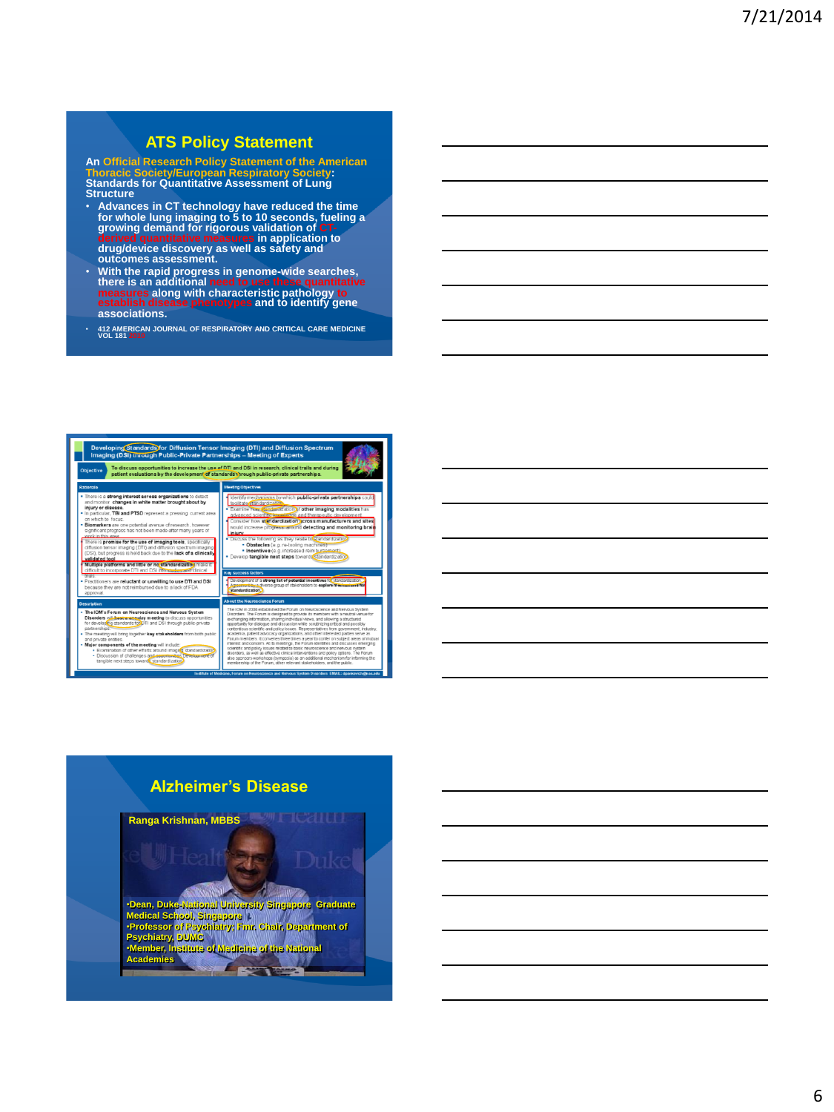## **ATS Policy Statement**

**An Official Research Policy Statement of the American Thoracic Society/European Respiratory Society: Standards for Quantitative Assessment of Lung Structure**

- Advances in CT technology have reduced the time<br>for whole lung imaging to 5 to 10 seconds, fueling a<br>growing demand for rigorous validation of CT-<br>derived quantitative measures in application to<br>drug/device discovery as
- **outcomes assessment.** • **With the rapid progress in genome-wide searches, there is an additional need to use these quantitative measures along with characteristic pathology to establish disease phenotypes and to identify gene associations.**
- **412 AMERICAN JOURNAL OF RESPIRATORY AND CRITICAL CARE MEDICINE VOL 181 2010**



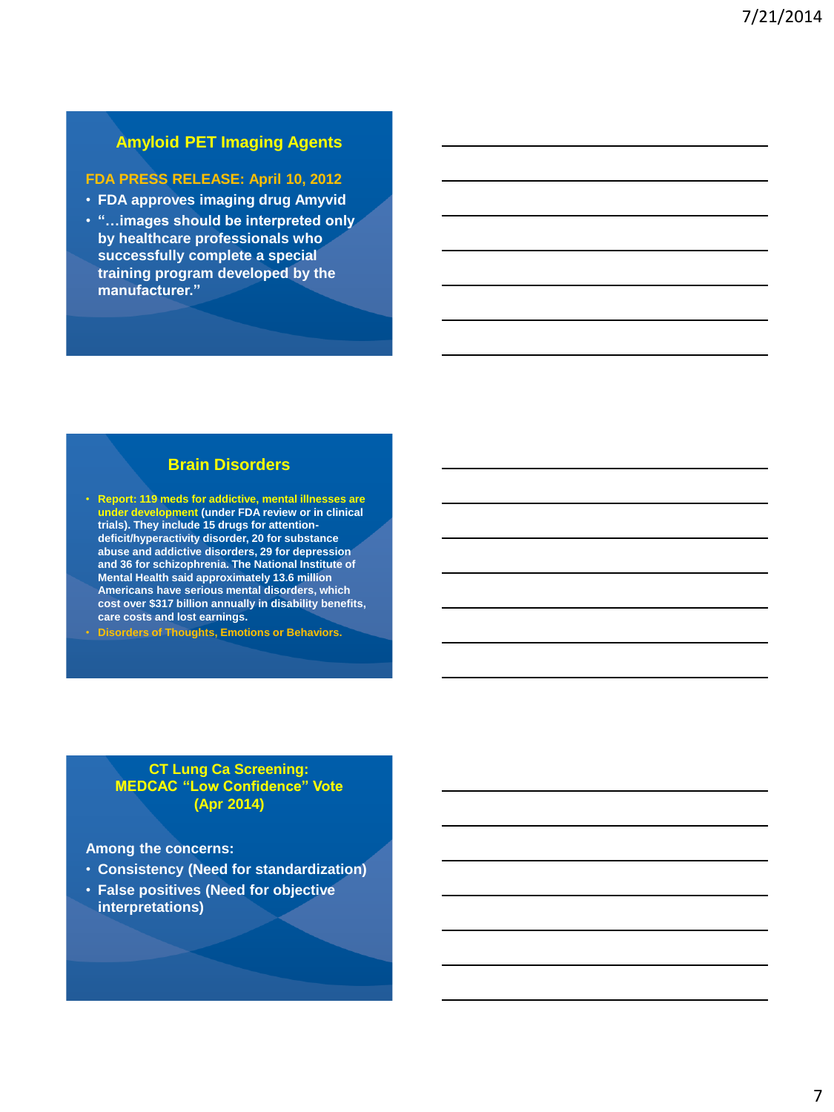## **Amyloid PET Imaging Agents**

## **FDA PRESS RELEASE: April 10, 2012**

- **FDA approves imaging drug Amyvid**
- **"…images should be interpreted only by healthcare professionals who successfully complete a special training program developed by the manufacturer."**

## **Brain Disorders**

- **Report: 119 meds for addictive, mental illnesses are under development (under FDA review or in clinical trials). They include 15 drugs for attentiondeficit/hyperactivity disorder, 20 for substance abuse and addictive disorders, 29 for depression and 36 for schizophrenia. The National Institute of Mental Health said approximately 13.6 million Americans have serious mental disorders, which cost over \$317 billion annually in disability benefits, care costs and lost earnings.**
- **Disorders of Thoughts, Emotions or Behaviors.**

## **CT Lung Ca Screening: MEDCAC "Low Confidence" Vote (Apr 2014)**

**Among the concerns:**

- **Consistency (Need for standardization)**
- **False positives (Need for objective interpretations)**